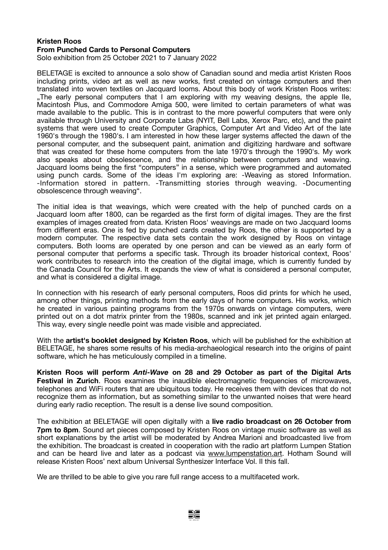## **Kristen Roos From Punched Cards to Personal Computers**

Solo exhibition from 25 October 2021 to 7 January 2022

BELETAGE is excited to announce a solo show of Canadian sound and media artist Kristen Roos including prints, video art as well as new works, first created on vintage computers and then translated into woven textiles on Jacquard looms. About this body of work Kristen Roos writes: .The early personal computers that I am exploring with my weaving designs, the apple IIe, Macintosh Plus, and Commodore Amiga 500, were limited to certain parameters of what was made available to the public. This is in contrast to the more powerful computers that were only available through University and Corporate Labs (NYIT, Bell Labs, Xerox Parc, etc), and the paint systems that were used to create Computer Graphics, Computer Art and Video Art of the late 1960's through the 1980's. I am interested in how these larger systems affected the dawn of the personal computer, and the subsequent paint, animation and digitizing hardware and software that was created for these home computers from the late 1970's through the 1990's. My work also speaks about obsolescence, and the relationship between computers and weaving. Jacquard looms being the first "computers" in a sense, which were programmed and automated using punch cards. Some of the ideas I'm exploring are: -Weaving as stored Information. -Information stored in pattern. -Transmitting stories through weaving. -Documenting obsolescence through weaving".

The initial idea is that weavings, which were created with the help of punched cards on a Jacquard loom after 1800, can be regarded as the first form of digital images. They are the first examples of images created from data. Kristen Roos' weavings are made on two Jacquard looms from different eras. One is fed by punched cards created by Roos, the other is supported by a modern computer. The respective data sets contain the work designed by Roos on vintage computers. Both looms are operated by one person and can be viewed as an early form of personal computer that performs a specific task. Through its broader historical context, Roos' work contributes to research into the creation of the digital image, which is currently funded by the Canada Council for the Arts. It expands the view of what is considered a personal computer, and what is considered a digital image.

In connection with his research of early personal computers, Roos did prints for which he used, among other things, printing methods from the early days of home computers. His works, which he created in various painting programs from the 1970s onwards on vintage computers, were printed out on a dot matrix printer from the 1980s, scanned and ink jet printed again enlarged. This way, every single needle point was made visible and appreciated.

With the **artist's booklet designed by Kristen Roos**, which will be published for the exhibition at BELETAGE, he shares some results of his media-archaeological research into the origins of paint software, which he has meticulously compiled in a timeline.

**Kristen Roos will perform** *Anti-Wave* **on 28 and 29 October as part of the Digital Arts Festival in Zurich**. Roos examines the inaudible electromagnetic frequencies of microwaves, telephones and WiFi routers that are ubiquitous today. He receives them with devices that do not recognize them as information, but as something similar to the unwanted noises that were heard during early radio reception. The result is a dense live sound composition.

The exhibition at BELETAGE will open digitally with a **live radio broadcast on 26 October from 7pm to 8pm.** Sound art pieces composed by Kristen Roos on vintage music software as well as short explanations by the artist will be moderated by Andrea Marioni and broadcasted live from the exhibition. The broadcast is created in cooperation with the radio art platform Lumpen Station and can be heard live and later as a podcast via [www.lumpenstation.art.](http://www.lumpenstation.art) Hotham Sound will release Kristen Roos' next album Universal Synthesizer Interface Vol. II this fall.

We are thrilled to be able to give you rare full range access to a multifaceted work.